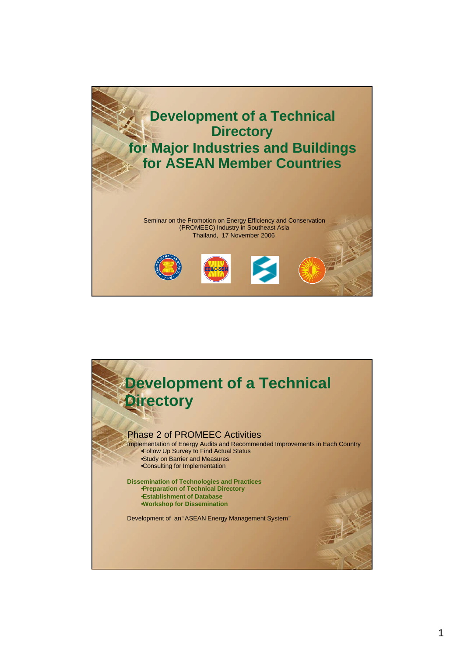

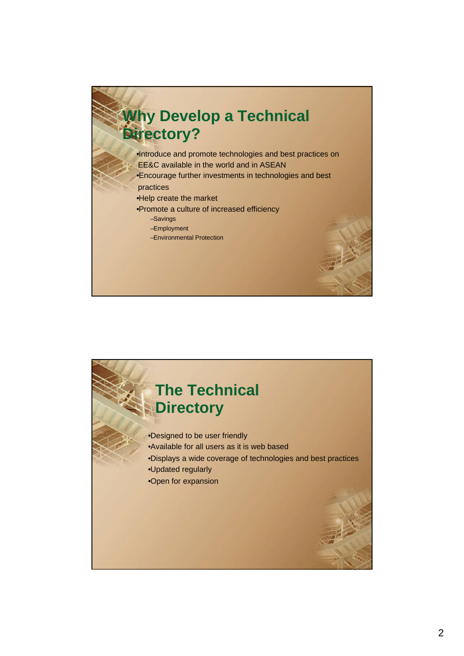## **Why Develop a Technical Directory?**

•Introduce and promote technologies and best practices on EE&C available in the world and in ASEAN •Encourage further investments in technologies and best

- practices
- •Help create the market
- •Promote a culture of increased efficiency
	- –Savings
	- –Employment
	- –Environmental Protection

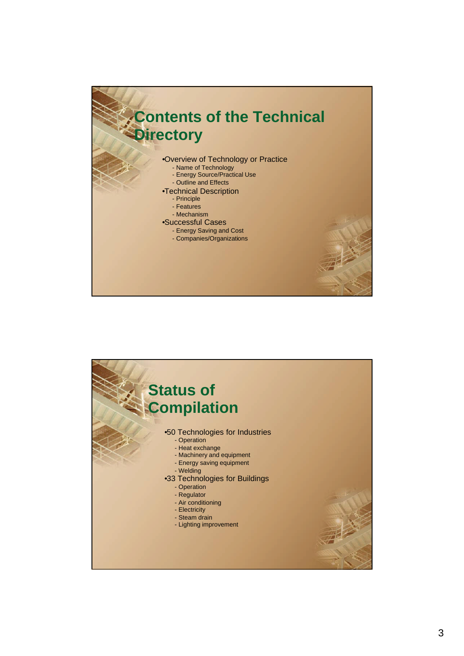

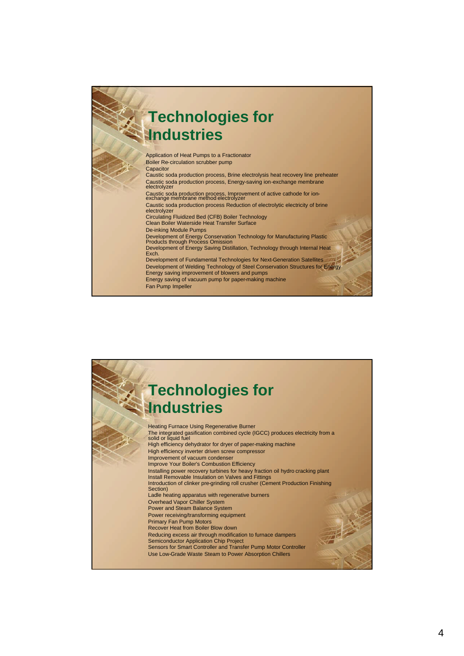## Application of Heat Pumps to a Fractionator Boiler Re-circulation scrubber pump **Capacitor** Caustic soda production process, Brine electrolysis heat recovery line preheater Caustic soda production process, Energy-saving ion-exchange membrane electrolyzer Caustic soda production process, Improvement of active cathode for ion-exchange membrane method electrolyzer Caustic soda production process Reduction of electrolytic electricity of brine electrolyzer Circulating Fluidized Bed (CFB) Boiler Technology Clean Boiler Waterside Heat Transfer Surface De-inking Module Pumps Development of Energy Conservation Technology for Manufacturing Plastic Products through Process Omission Development of Energy Saving Distillation, Technology through Internal Heat Exch. Development of Fundamental Technologies for Next-Generation Satellites Development of Welding Technology of Steel Conservation Structures for Energy Energy saving improvement of blowers and pumps Energy saving of vacuum pump for paper-making machine Fan Pump Impeller **Technologies for Industries**

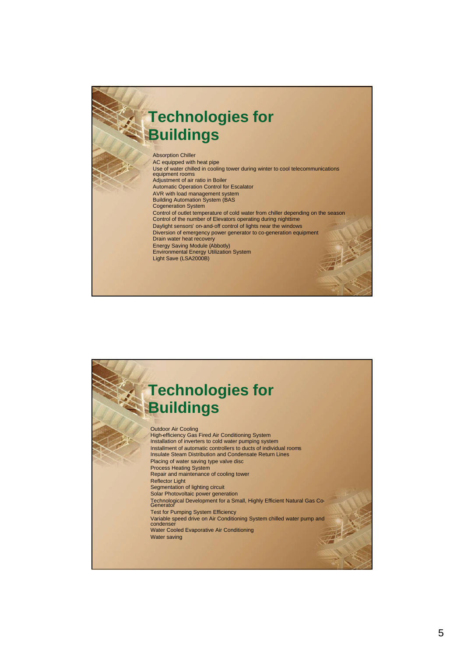## **Technologies for Buildings**

Absorption Chiller AC equipped with heat pipe Use of water chilled in cooling tower during winter to cool telecommunications equipment rooms Adjustment of air ratio in Boiler Automatic Operation Control for Escalator AVR with load management system Building Automation System (BAS Cogeneration System Control of outlet temperature of cold water from chiller depending on the season Control of the number of Elevators operating during nighttime Daylight sensors' on-and-off control of lights near the windows Diversion of emergency power generator to co-generation equipment Drain water heat recovery Energy Saving Module (Abbotly) Environmental Energy Utilization System Light Save (LSA2000B)

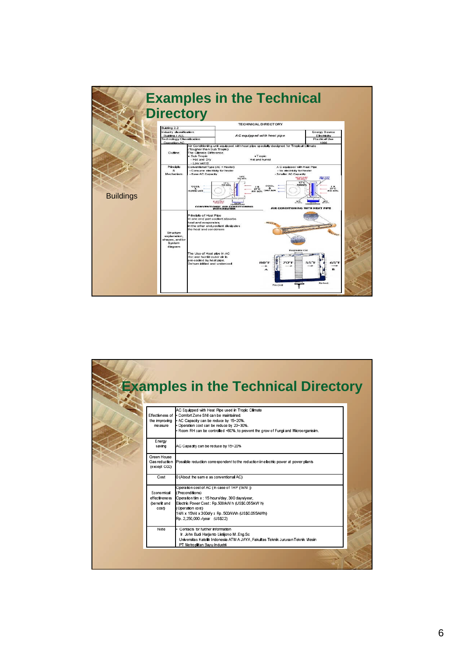

| Effectivness of             | AC Equipped with Heat Pipe used in Tropic Climate<br>Comfort Zone SNI can be maintained.                       |
|-----------------------------|----------------------------------------------------------------------------------------------------------------|
| the improving               | AC Capacity can be reduce by 15~20%.                                                                           |
| me asure                    | Operation cost can be reduce by 20~30%.                                                                        |
|                             | Room RH can be controlled <60%, to prevent the grow of Fungi and Microorganisim.                               |
| <b>E</b> nergy<br>saving    | AC Capacity can be reduce by 15~20%                                                                            |
| Green House                 |                                                                                                                |
| (except C02)                | Gas reduction Possible reduction correspondent to the reduction in electric power at power plants              |
| Cost                        | 0 (About the sam e as conventional AC)                                                                         |
|                             | Operation cost of AC (In case of 1HP (1kW))                                                                    |
| Economical<br>effectiveness | (Preconditions)<br>Operation tim e : 15 hours/day, 300 days/year,                                              |
| (be nefit and               | Electric Power Cost : Rp.500/kW h (US\$0.055/kW h)                                                             |
| cost                        | (Operation cost)                                                                                               |
|                             | 1 kW x 15h/d x 300d/v x Rp. 500/kWh (US\$0.055/kWh)                                                            |
|                             | Rp. 2,250,000.-/year (US\$22)                                                                                  |
| Note                        | Contacts for further information                                                                               |
|                             | Ir. John Budi Harjanto Listijono M.Eng.Sc                                                                      |
|                             | Universitas Katolik Indonesia ATM A JAYA, Fakultas Teknik Jurusan Teknik Mesin<br>PT Metroplitan Bayu Industri |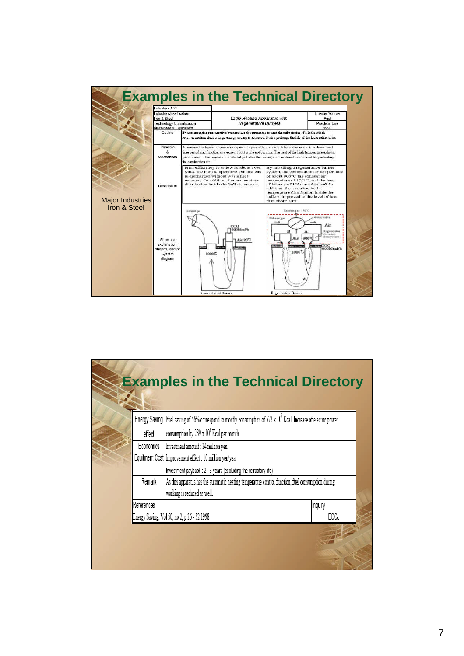

|  |            | <b>Examples in the Technical Directory</b>                                                                                       |         |  |
|--|------------|----------------------------------------------------------------------------------------------------------------------------------|---------|--|
|  |            | Energy Saving   Fuel saving of 56% correspond to montly consumption of 573 x 10 <sup>3</sup> Kcal, Increase of electric power    |         |  |
|  | effect     | consumption by 239 x 10 <sup>3</sup> Keal per month                                                                              |         |  |
|  | Economics  | Investment amount : 24 million yen                                                                                               |         |  |
|  |            | Equitment Cost Improvement effect : 10 million yen/year                                                                          |         |  |
|  |            | Investment payback : 2 - 3 years (excluding the refractory life)                                                                 |         |  |
|  | Remark     | As this apparatus has the automatic heating temperature control function, fuel consumption during<br>working is reduced as well. |         |  |
|  | References |                                                                                                                                  | Inquiry |  |
|  |            | Energy Saving, Vol 50, no 2, p 26 - 32 1998                                                                                      | ECCJ    |  |
|  |            |                                                                                                                                  |         |  |